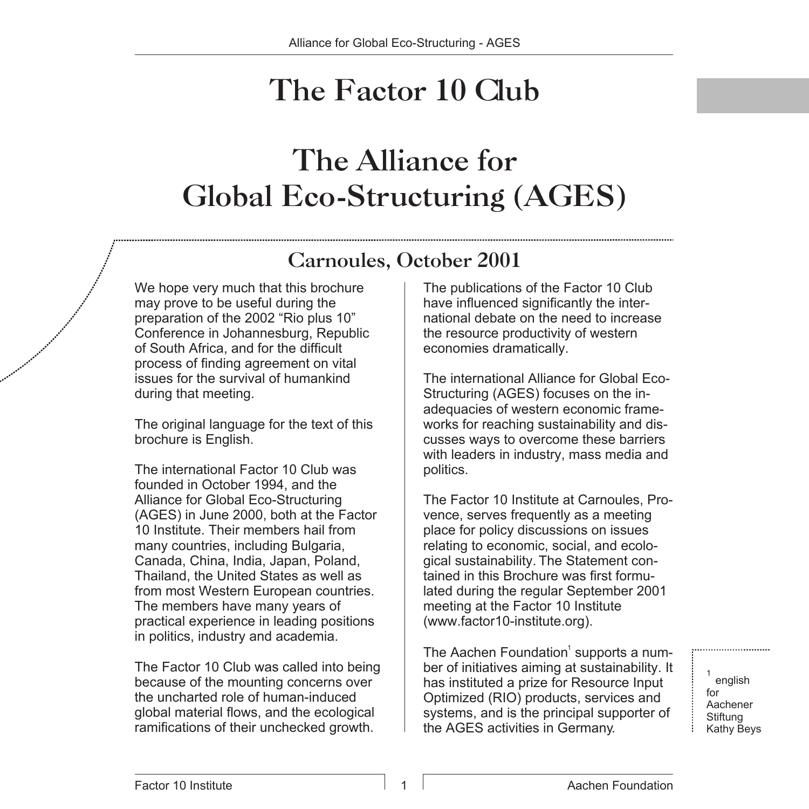### The Factor 10 Club

### The Alliance for Global Eco-Structuring (AGES)

#### Carnoules, October 2001

We hope very much that this brochure may prove to be useful during the preparation of the 2002 "Rio plus 10" Conference in Johannesburg, Republic of South Africa, and for the difficult process of finding agreement on vital issues for the survival of humankind during that meeting.

The original language for the text of this brochure is English.

The international Factor 10 Club was founded in October 1994, and the Alliance for Global Eco-Structuring (AGES) in June 2000, both at the Factor 10 Institute. Their members hail from many countries, including Bulgaria, Canada, China, India, Japan, Poland, Thailand, the United States as well as from most Western European countries. The members have many years of practical experience in leading positions in politics, industry and academia.

The Factor 10 Club was called into being because of the mounting concerns over the uncharted role of human-induced global material flows, and the ecological ramifications of their unchecked growth.

The publications of the Factor 10 Club have influenced significantly the international debate on the need to increase the resource productivity of western economies dramatically.

The international Alliance for Global Eco-Structuring (AGES) focuses on the inadequacies of western economic frameworks for reaching sustainability and discusses ways to overcome these barriers with leaders in industry, mass media and politics.

The Factor 10 Institute at Carnoules, Provence, serves frequently as a meeting place for policy discussions on issues relating to economic, social, and ecological sustainability. The Statement contained in this Brochure was first formulated during the regular September 2001 meeting at the Factor 10 Institute (www.factor10-institute.org).

The Aachen Foundation<sup>1</sup> supports a number of initiatives aiming at sustainability. It has instituted a prize for Resource Input Optimized (RIO) products, services and systems, and is the principal supporter of the AGES activities in Germany.

1 english for Aachener **Stiftung** Kathy Beys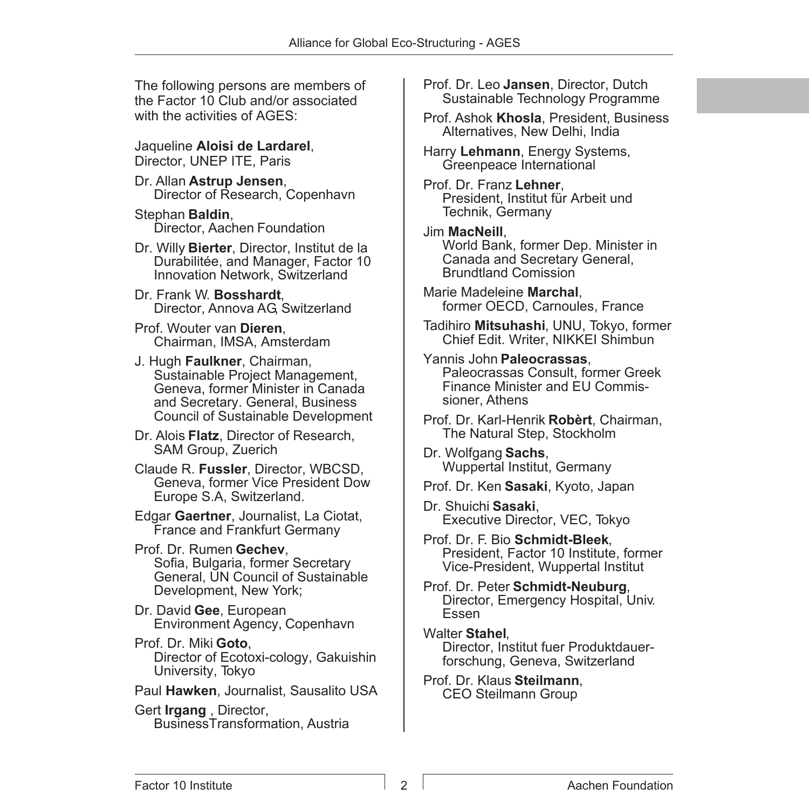The following persons are members of the Factor 10 Club and/or associated with the activities of AGES:

Jaqueline **Aloisi de Lardarel**, Director, UNEP ITE, Paris

Dr. Allan **Astrup Jensen**, Director of Research, Copenhavn

Stephan **Baldin**, Director, Aachen Foundation

- Dr. Willy **Bierter**, Director, Institut de la Durabilitée, and Manager, Factor 10 Innovation Network, Switzerland
- Dr. Frank W. **Bosshardt**, Director, Annova AG, Switzerland

Prof. Wouter van **Dieren**, Chairman, IMSA, Amsterdam

- J. Hugh **Faulkner**, Chairman, Sustainable Project Management, Geneva, former Minister in Canada and Secretary. General, Business Council of Sustainable Development
- Dr. Alois **Flatz**, Director of Research, SAM Group, Zuerich

Claude R. **Fussler**, Director, WBCSD, Geneva, former Vice President Dow Europe S.A, Switzerland.

Edgar **Gaertner**, Journalist, La Ciotat, France and Frankfurt Germany

Prof. Dr. Rumen **Gechev**, Sofia, Bulgaria, former Secretary General, UN Council of Sustainable Development, New York;

Dr. David **Gee**, European Environment Agency, Copenhavn

Prof. Dr. Miki **Goto**, Director of Ecotoxi-cology, Gakuishin University, Tokyo

Paul **Hawken**, Journalist, Sausalito USA

Gert **Irgang** , Director, BusinessTransformation, Austria Prof. Dr. Leo **Jansen**, Director, Dutch Sustainable Technology Programme

Prof. Ashok **Khosla**, President, Business Alternatives, New Delhi, India

Harry **Lehmann**, Energy Systems, Greenpeace International

Prof. Dr. Franz **Lehner**, President, Institut für Arbeit und Technik, Germany

Jim **MacNeill**, World Bank, former Dep. Minister in Canada and Secretary General, Brundtland Comission

Marie Madeleine **Marchal**, former OECD, Carnoules, France

Tadihiro **Mitsuhashi**, UNU, Tokyo, former Chief Edit. Writer, NIKKEI Shimbun

- Yannis John **Paleocrassas**, Paleocrassas Consult, former Greek Finance Minister and EU Commissioner, Athens
- Prof. Dr. Karl-Henrik **Robèrt**, Chairman, The Natural Step, Stockholm

Dr. Wolfgang **Sachs**, Wuppertal Institut, Germany

Prof. Dr. Ken **Sasaki**, Kyoto, Japan

- Dr. Shuichi **Sasaki**, Executive Director, VEC, Tokyo
- Prof. Dr. F. Bio **Schmidt-Bleek**, President, Factor 10 Institute, former Vice-President, Wuppertal Institut

Prof. Dr. Peter **Schmidt-Neuburg**, Director, Emergency Hospital, Univ. Essen

Walter **Stahel**, Director, Institut fuer Produktdauerforschung, Geneva, Switzerland

Prof. Dr. Klaus **Steilmann**, CEO Steilmann Group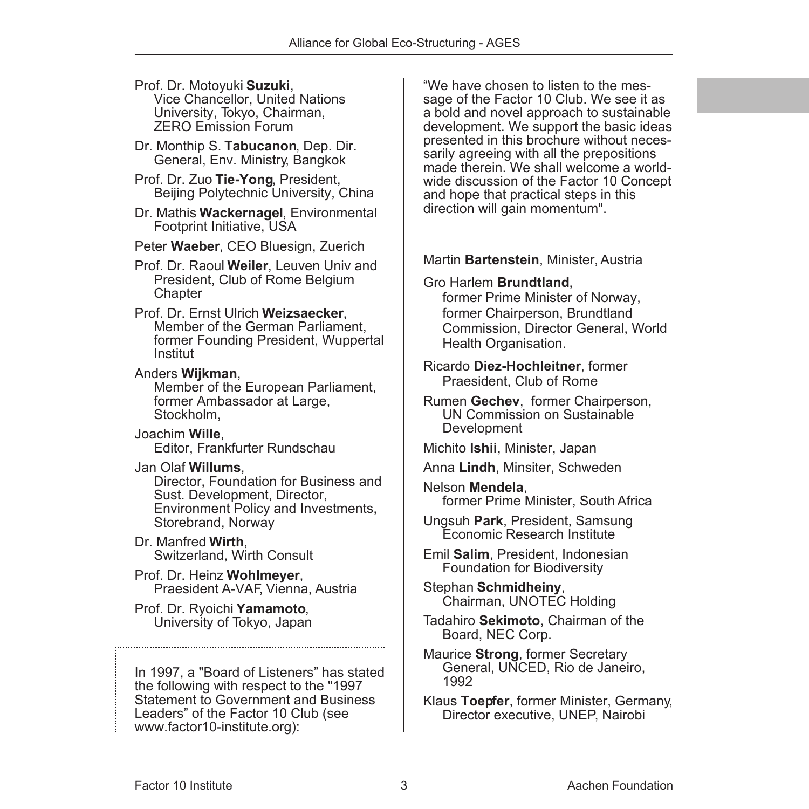#### Prof. Dr. Motoyuki **Suzuki**, Vice Chancellor, United Nations University, Tokyo, Chairman, ZERO Emission Forum

- Dr. Monthip S. **Tabucanon**, Dep. Dir. General, Env. Ministry, Bangkok
- Prof. Dr. Zuo **Tie-Yong**, President, Beijing Polytechnic University, China
- Dr. Mathis **Wackernagel**, Environmental Footprint Initiative, USA
- Peter **Waeber**, CEO Bluesign, Zuerich
- Prof. Dr. Raoul **Weiler**, Leuven Univ and President, Club of Rome Belgium **Chapter**

Prof. Dr. Ernst Ulrich **Weizsaecker**, Member of the German Parliament, former Founding President, Wuppertal Institut

Anders **Wijkman**, Member of the European Parliament, former Ambassador at Large, Stockholm,

Joachim **Wille**, Editor, Frankfurter Rundschau

Jan Olaf **Willums**,

Director, Foundation for Business and Sust. Development, Director, Environment Policy and Investments, Storebrand, Norway

- Dr. Manfred **Wirth**, Switzerland, Wirth Consult
- Prof. Dr. Heinz **Wohlmeyer**, Praesident A-VAF, Vienna, Austria
- Prof. Dr. Ryoichi **Yamamoto**, University of Tokyo, Japan

In 1997, a "Board of Listeners" has stated the following with respect to the "1997 Statement to Government and Business Leaders" of the Factor 10 Club (see www.factor10-institute.org):

"We have chosen to listen to the message of the Factor 10 Club. We see it as a bold and novel approach to sustainable development. We support the basic ideas presented in this brochure without necessarily agreeing with all the prepositions made therein. We shall welcome a worldwide discussion of the Factor 10 Concept and hope that practical steps in this direction will gain momentum".

Martin **Bartenstein**, Minister, Austria

Gro Harlem **Brundtland**,

former Prime Minister of Norway, former Chairperson, Brundtland Commission, Director General, World Health Organisation.

Ricardo **Diez-Hochleitner**, former Praesident, Club of Rome

Rumen **Gechev**, former Chairperson, UN Commission on Sustainable **Development** 

Michito **Ishii**, Minister, Japan

- Anna **Lindh**, Minsiter, Schweden
- Nelson **Mendela**, former Prime Minister, South Africa
- Ungsuh **Park**, President, Samsung Economic Research Institute
- Emil **Salim**, President, Indonesian Foundation for Biodiversity

Stephan **Schmidheiny**, Chairman, UNOTEC Holding

- Tadahiro **Sekimoto**, Chairman of the Board, NEC Corp.
- Maurice **Strong**, former Secretary General, UNCED, Rio de Janeiro, 1992
- Klaus **Toepfer**, former Minister, Germany, Director executive, UNEP, Nairobi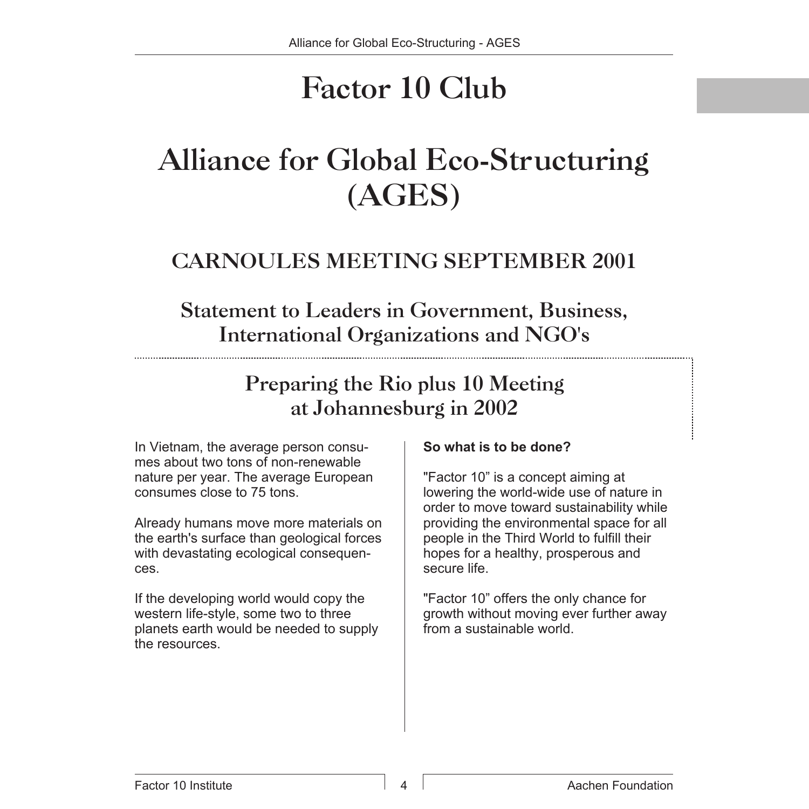# Factor 10 Club

## Alliance for Global Eco-Structuring (AGES)

### CARNOULES MEETING SEPTEMBER 2001

### Statement to Leaders in Government, Business, International Organizations and NGO's

Preparing the Rio plus 10 Meeting at Johannesburg in 2002

In Vietnam, the average person consumes about two tons of non-renewable nature per year. The average European consumes close to 75 tons.

Already humans move more materials on the earth's surface than geological forces with devastating ecological consequences.

If the developing world would copy the western life-style, some two to three planets earth would be needed to supply the resources.

#### **So what is to be done?**

"Factor 10" is a concept aiming at lowering the world-wide use of nature in order to move toward sustainability while providing the environmental space for all people in the Third World to fulfill their hopes for a healthy, prosperous and secure life.

"Factor 10" offers the only chance for growth without moving ever further away from a sustainable world.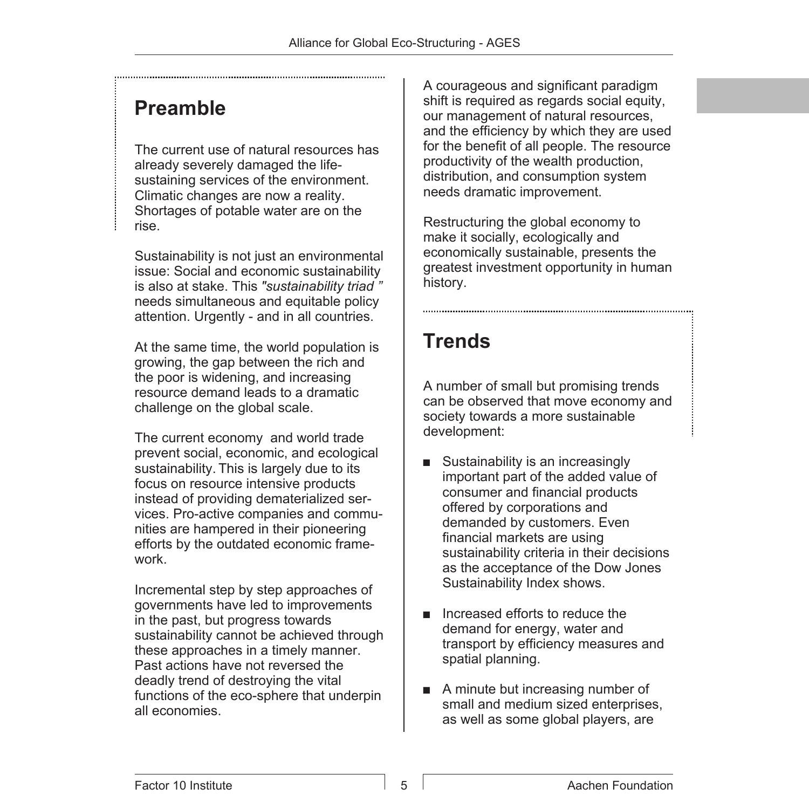#### **Preamble**

The current use of natural resources has already severely damaged the lifesustaining services of the environment. Climatic changes are now a reality. Shortages of potable water are on the rise.

Sustainability is not just an environmental issue: Social and economic sustainability is also at stake. This *"sustainability triad "* needs simultaneous and equitable policy attention. Urgently - and in all countries.

At the same time, the world population is growing, the gap between the rich and the poor is widening, and increasing resource demand leads to a dramatic challenge on the global scale.

The current economy and world trade prevent social, economic, and ecological sustainability. This is largely due to its focus on resource intensive products instead of providing dematerialized services. Pro-active companies and communities are hampered in their pioneering efforts by the outdated economic framework.

Incremental step by step approaches of governments have led to improvements in the past, but progress towards sustainability cannot be achieved through these approaches in a timely manner. Past actions have not reversed the deadly trend of destroying the vital functions of the eco-sphere that underpin all economies.

A courageous and significant paradigm shift is required as regards social equity. our management of natural resources, and the efficiency by which they are used for the benefit of all people. The resource productivity of the wealth production, distribution, and consumption system needs dramatic improvement.

Restructuring the global economy to make it socially, ecologically and economically sustainable, presents the greatest investment opportunity in human history.

#### **Trends**

A number of small but promising trends can be observed that move economy and society towards a more sustainable development:

- $\blacksquare$  Sustainability is an increasingly important part of the added value of consumer and financial products offered by corporations and demanded by customers. Even financial markets are using sustainability criteria in their decisions as the acceptance of the Dow Jones Sustainability Index shows.
- $\blacksquare$  Increased efforts to reduce the demand for energy, water and transport by efficiency measures and spatial planning.
- $\blacksquare$  A minute but increasing number of small and medium sized enterprises, as well as some global players, are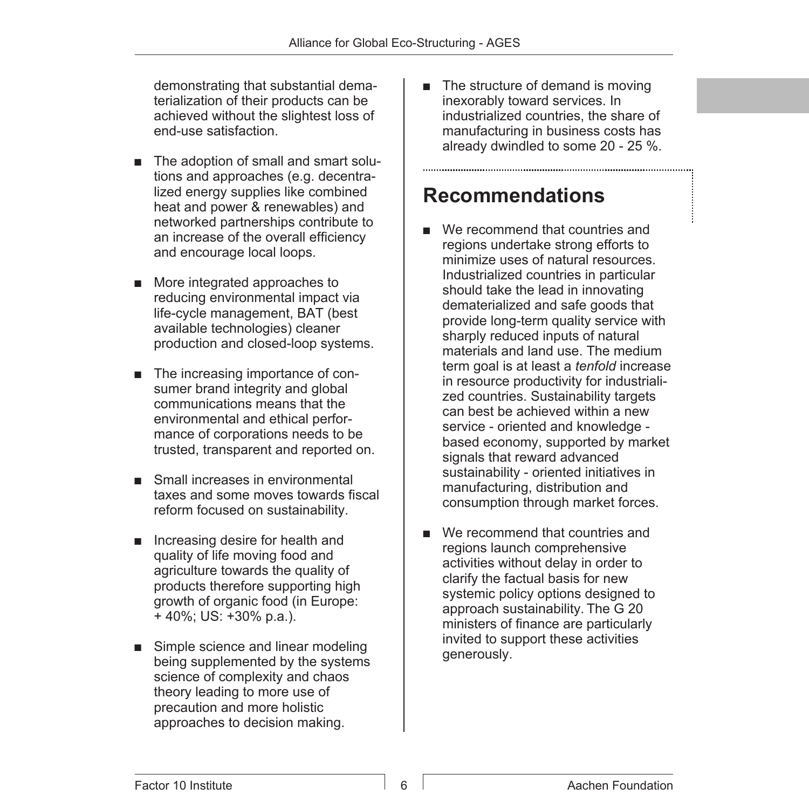demonstrating that substantial dematerialization of their products can be achieved without the slightest loss of end-use satisfaction.

- The adoption of small and smart solutions and approaches (e.g. decentralized energy supplies like combined heat and power & renewables) and networked partnerships contribute to an increase of the overall efficiency and encourage local loops.
- More integrated approaches to reducing environmental impact via life-cycle management, BAT (best available technologies) cleaner production and closed-loop systems.
- $\blacksquare$  The increasing importance of consumer brand integrity and global communications means that the environmental and ethical performance of corporations needs to be trusted, transparent and reported on.
- $\blacksquare$  Small increases in environmental taxes and some moves towards fiscal reform focused on sustainability.
- $\blacksquare$  Increasing desire for health and quality of life moving food and agriculture towards the quality of products therefore supporting high growth of organic food (in Europe: + 40%; US: +30% p.a.).
- $\blacksquare$  Simple science and linear modeling being supplemented by the systems science of complexity and chaos theory leading to more use of precaution and more holistic approaches to decision making.

 $\blacksquare$  The structure of demand is moving inexorably toward services. In industrialized countries, the share of manufacturing in business costs has already dwindled to some 20 - 25 %.

#### **Recommendations**

- $\blacksquare$  We recommend that countries and regions undertake strong efforts to minimize uses of natural resources. Industrialized countries in particular should take the lead in innovating dematerialized and safe goods that provide long-term quality service with sharply reduced inputs of natural materials and land use. The medium term goal is at least a *tenfold* increase in resource productivity for industrialized countries. Sustainability targets can best be achieved within a new service - oriented and knowledge based economy, supported by market signals that reward advanced sustainability - oriented initiatives in manufacturing, distribution and consumption through market forces.
- $\blacksquare$  We recommend that countries and regions launch comprehensive activities without delay in order to clarify the factual basis for new systemic policy options designed to approach sustainability. The G 20 ministers of finance are particularly invited to support these activities generously.